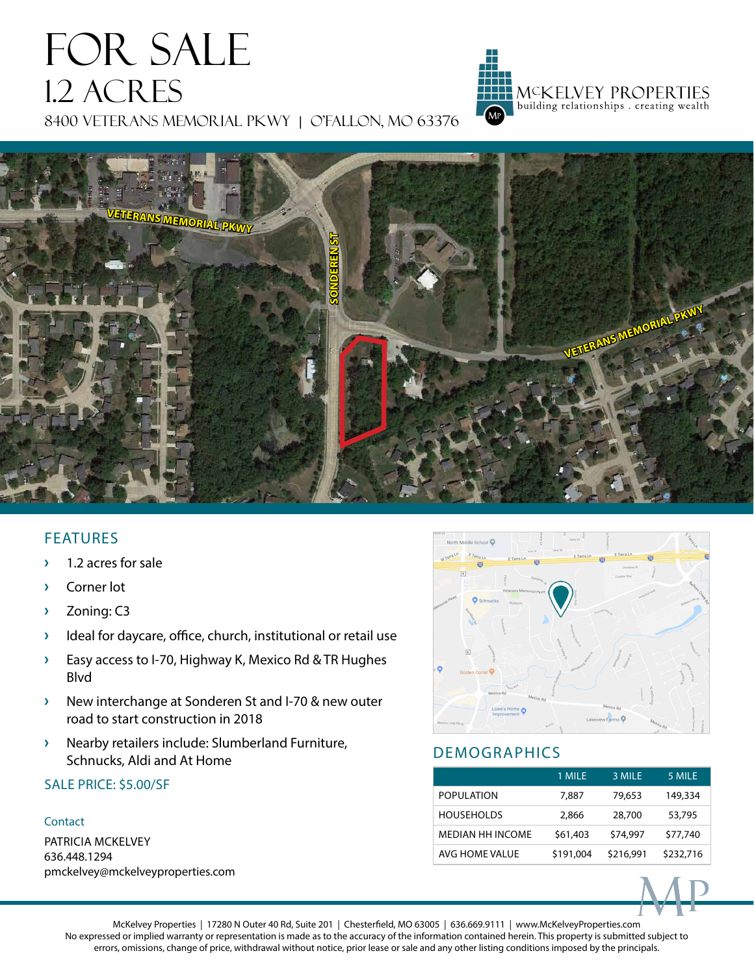# FOR SALE 1.2 ACRES 8400 VETERANS MEMORIAL PKWY | O'FALLON, MO 63376



## FEATURES

- **›** 1.2 acres for sale
- **›** Corner lot
- **›** Zoning: C3
- **›** Ideal for daycare, office, church, institutional or retail use
- **›** Easy access to I-70, Highway K, Mexico Rd & TR Hughes Blvd
- **›** New interchange at Sonderen St and I-70 & new outer road to start construction in 2018
- **›** Nearby retailers include: Slumberland Furniture, Schnucks, Aldi and At Home

### SALE PRICE: \$5.00/SF

#### **Contact**

PATRICIA MCKELVEY 636.448.1294 pmckelvey@mckelveyproperties.com



MCKELVEY PROPERTIES<br>| building relationships . creating wealth

# DEMOGRAPHICS

|                         | 1 MILE    | 3 MILE    | 5 MILE    |
|-------------------------|-----------|-----------|-----------|
| POPULATION              | 7.887     | 79,653    | 149,334   |
| <b>HOUSEHOLDS</b>       | 2,866     | 28,700    | 53,795    |
| <b>MEDIAN HH INCOME</b> | \$61,403  | \$74,997  | \$77,740  |
| AVG HOME VALUE          | \$191,004 | \$216,991 | \$232,716 |



McKelvey Properties | 17280 N Outer 40 Rd, Suite 201 | Chesterfield, MO 63005 | 636.669.9111 | www.McKelveyProperties.com No expressed or implied warranty or representation is made as to the accuracy of the information contained herein. This property is submitted subject to errors, omissions, change of price, withdrawal without notice, prior lease or sale and any other listing conditions imposed by the principals.